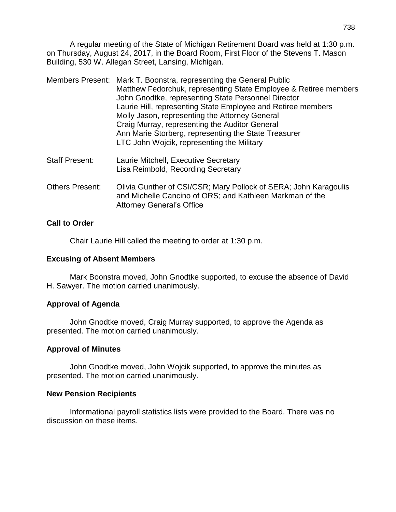A regular meeting of the State of Michigan Retirement Board was held at 1:30 p.m. on Thursday, August 24, 2017, in the Board Room, First Floor of the Stevens T. Mason Building, 530 W. Allegan Street, Lansing, Michigan.

|                       | Members Present: Mark T. Boonstra, representing the General Public<br>Matthew Fedorchuk, representing State Employee & Retiree members<br>John Gnodtke, representing State Personnel Director<br>Laurie Hill, representing State Employee and Retiree members<br>Molly Jason, representing the Attorney General<br>Craig Murray, representing the Auditor General<br>Ann Marie Storberg, representing the State Treasurer<br>LTC John Wojcik, representing the Military |
|-----------------------|-------------------------------------------------------------------------------------------------------------------------------------------------------------------------------------------------------------------------------------------------------------------------------------------------------------------------------------------------------------------------------------------------------------------------------------------------------------------------|
| <b>Staff Present:</b> | Laurie Mitchell, Executive Secretary<br>Lisa Reimbold, Recording Secretary                                                                                                                                                                                                                                                                                                                                                                                              |
|                       |                                                                                                                                                                                                                                                                                                                                                                                                                                                                         |

Others Present: Olivia Gunther of CSI/CSR; Mary Pollock of SERA; John Karagoulis and Michelle Cancino of ORS; and Kathleen Markman of the Attorney General's Office

# **Call to Order**

Chair Laurie Hill called the meeting to order at 1:30 p.m.

# **Excusing of Absent Members**

Mark Boonstra moved, John Gnodtke supported, to excuse the absence of David H. Sawyer. The motion carried unanimously.

# **Approval of Agenda**

John Gnodtke moved, Craig Murray supported, to approve the Agenda as presented. The motion carried unanimously.

# **Approval of Minutes**

John Gnodtke moved, John Wojcik supported, to approve the minutes as presented. The motion carried unanimously.

# **New Pension Recipients**

Informational payroll statistics lists were provided to the Board. There was no discussion on these items.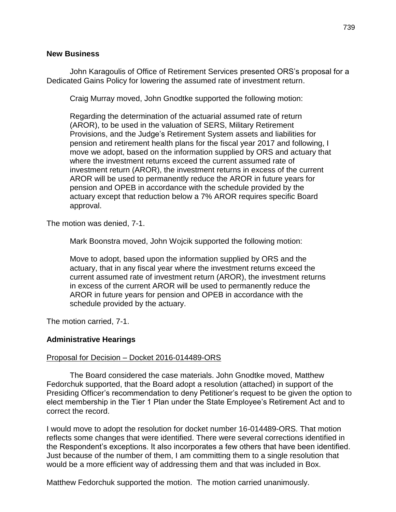#### **New Business**

John Karagoulis of Office of Retirement Services presented ORS's proposal for a Dedicated Gains Policy for lowering the assumed rate of investment return.

Craig Murray moved, John Gnodtke supported the following motion:

Regarding the determination of the actuarial assumed rate of return (AROR), to be used in the valuation of SERS, Military Retirement Provisions, and the Judge's Retirement System assets and liabilities for pension and retirement health plans for the fiscal year 2017 and following, I move we adopt, based on the information supplied by ORS and actuary that where the investment returns exceed the current assumed rate of investment return (AROR), the investment returns in excess of the current AROR will be used to permanently reduce the AROR in future years for pension and OPEB in accordance with the schedule provided by the actuary except that reduction below a 7% AROR requires specific Board approval.

The motion was denied, 7-1.

Mark Boonstra moved, John Wojcik supported the following motion:

Move to adopt, based upon the information supplied by ORS and the actuary, that in any fiscal year where the investment returns exceed the current assumed rate of investment return (AROR), the investment returns in excess of the current AROR will be used to permanently reduce the AROR in future years for pension and OPEB in accordance with the schedule provided by the actuary.

The motion carried, 7-1.

#### **Administrative Hearings**

#### Proposal for Decision – Docket 2016-014489-ORS

The Board considered the case materials. John Gnodtke moved, Matthew Fedorchuk supported, that the Board adopt a resolution (attached) in support of the Presiding Officer's recommendation to deny Petitioner's request to be given the option to elect membership in the Tier 1 Plan under the State Employee's Retirement Act and to correct the record.

I would move to adopt the resolution for docket number 16-014489-ORS. That motion reflects some changes that were identified. There were several corrections identified in the Respondent's exceptions. It also incorporates a few others that have been identified. Just because of the number of them, I am committing them to a single resolution that would be a more efficient way of addressing them and that was included in Box.

Matthew Fedorchuk supported the motion. The motion carried unanimously.